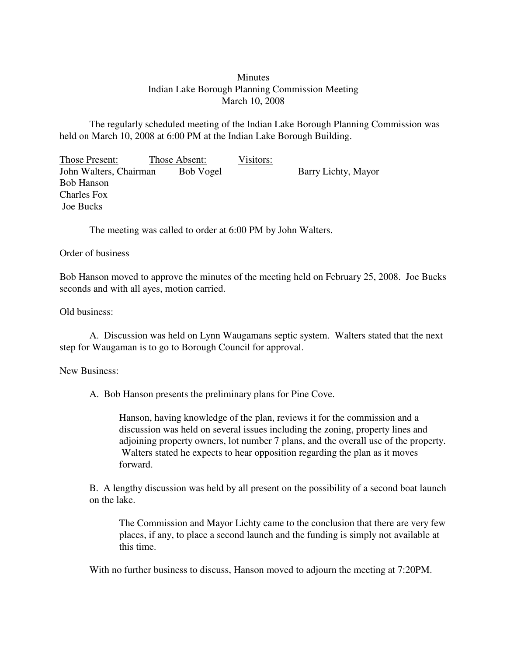## **Minutes** Indian Lake Borough Planning Commission Meeting March 10, 2008

The regularly scheduled meeting of the Indian Lake Borough Planning Commission was held on March 10, 2008 at 6:00 PM at the Indian Lake Borough Building.

Those Present: Those Absent: Visitors: John Walters, Chairman Bob Vogel Barry Lichty, Mayor Bob Hanson Charles Fox Joe Bucks

The meeting was called to order at 6:00 PM by John Walters.

## Order of business

Bob Hanson moved to approve the minutes of the meeting held on February 25, 2008. Joe Bucks seconds and with all ayes, motion carried.

## Old business:

A. Discussion was held on Lynn Waugamans septic system. Walters stated that the next step for Waugaman is to go to Borough Council for approval.

## New Business:

A. Bob Hanson presents the preliminary plans for Pine Cove.

Hanson, having knowledge of the plan, reviews it for the commission and a discussion was held on several issues including the zoning, property lines and adjoining property owners, lot number 7 plans, and the overall use of the property. Walters stated he expects to hear opposition regarding the plan as it moves forward.

B. A lengthy discussion was held by all present on the possibility of a second boat launch on the lake.

The Commission and Mayor Lichty came to the conclusion that there are very few places, if any, to place a second launch and the funding is simply not available at this time.

With no further business to discuss, Hanson moved to adjourn the meeting at 7:20PM.